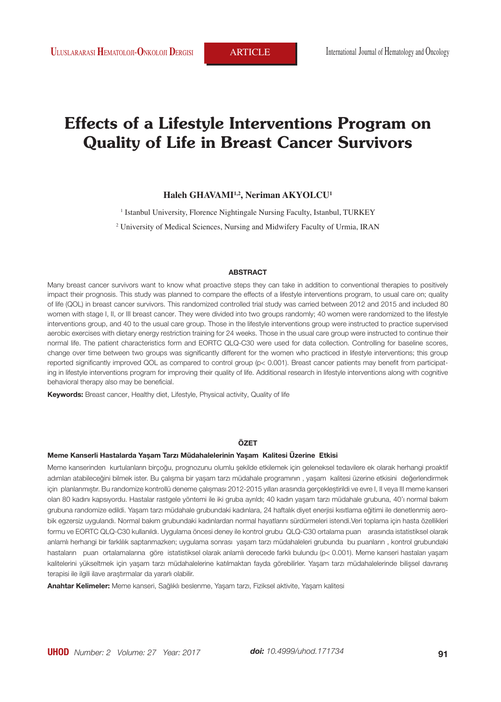# **Effects of a Lifestyle Interventions Program on Quality of Life in Breast Cancer Survivors**

**Haleh GHAVAMI1,2, Neriman AKYOLCU1**

<sup>1</sup> Istanbul University, Florence Nightingale Nursing Faculty, Istanbul, TURKEY

2 University of Medical Sciences, Nursing and Midwifery Faculty of Urmia, IRAN

#### **ABSTRACT**

Many breast cancer survivors want to know what proactive steps they can take in addition to conventional therapies to positively impact their prognosis. This study was planned to compare the effects of a lifestyle interventions program, to usual care on; quality of life (QOL) in breast cancer survivors. This randomized controlled trial study was carried between 2012 and 2015 and included 80 women with stage I, II, or III breast cancer. They were divided into two groups randomly; 40 women were randomized to the lifestyle interventions group, and 40 to the usual care group. Those in the lifestyle interventions group were instructed to practice supervised aerobic exercises with dietary energy restriction training for 24 weeks. Those in the usual care group were instructed to continue their normal life. The patient characteristics form and EORTC QLQ-C30 were used for data collection. Controlling for baseline scores, change over time between two groups was significantly different for the women who practiced in lifestyle interventions; this group reported significantly improved QOL as compared to control group (p< 0.001). Breast cancer patients may benefit from participating in lifestyle interventions program for improving their quality of life. Additional research in lifestyle interventions along with cognitive behavioral therapy also may be beneficial.

**Keywords:** Breast cancer, Healthy diet, Lifestyle, Physical activity, Quality of life

#### **ÖZET**

#### **Meme Kanserli Hastalarda Yaşam Tarzı Müdahalelerinin Yaşam Kalitesi Üzerine Etkisi**

Meme kanserinden kurtulanların birçoğu, prognozunu olumlu şekilde etkilemek için geleneksel tedavilere ek olarak herhangi proaktif adımları atabileceğini bilmek ister. Bu çalışma bir yaşam tarzı müdahale programının , yaşam kalitesi üzerine etkisini değerlendirmek için planlanmıştır. Bu randomize kontrollü deneme çalışması 2012-2015 yılları arasında gerçekleştirildi ve evre I, II veya III meme kanseri olan 80 kadını kapsıyordu. Hastalar rastgele yöntemi ile iki gruba ayrıldı; 40 kadın yaşam tarzı müdahale grubuna, 40'ı normal bakım grubuna randomize edildi. Yaşam tarzı müdahale grubundaki kadınlara, 24 haftalık diyet enerjisi kısıtlama eğitimi ile denetlenmiş aerobik egzersiz uygulandı. Normal bakım grubundaki kadınlardan normal hayatlarını sürdürmeleri istendi.Veri toplama için hasta özellikleri formu ve EORTC QLQ-C30 kullanıldı. Uygulama öncesi deney ile kontrol grubu QLQ-C30 ortalama puan arasında istatistiksel olarak anlamlı herhangi bir farklılık saptanmazken; uygulama sonrası yaşam tarzı müdahaleleri grubunda bu puanların , kontrol grubundaki hastaların puan ortalamalarına göre istatistiksel olarak anlamlı derecede farklı bulundu (p< 0.001). Meme kanseri hastaları yaşam kalitelerini yükseltmek için yaşam tarzı müdahalelerine katılmaktan fayda görebilirler. Yaşam tarzı müdahalelerinde bilişsel davranış terapisi ile ilgili ilave araştırmalar da yararlı olabilir.

**Anahtar Kelimeler:** Meme kanseri, Sağlıklı beslenme, Yaşam tarzı, Fiziksel aktivite, Yaşam kalitesi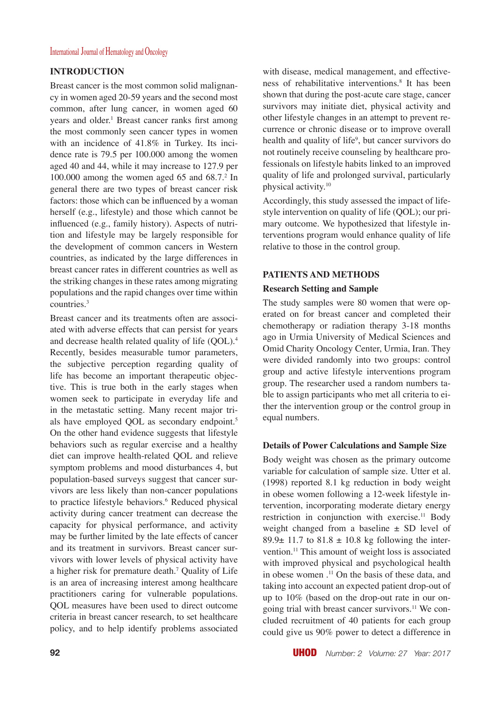# **INTRODUCTION**

Breast cancer is the most common solid malignancy in women aged 20-59 years and the second most common, after lung cancer, in women aged 60 years and older.<sup>1</sup> Breast cancer ranks first among the most commonly seen cancer types in women with an incidence of 41.8% in Turkey. Its incidence rate is 79.5 per 100.000 among the women aged 40 and 44, while it may increase to 127.9 per 100.000 among the women aged 65 and  $68.7$ <sup>2</sup> In general there are two types of breast cancer risk factors: those which can be influenced by a woman herself (e.g., lifestyle) and those which cannot be influenced (e.g., family history). Aspects of nutrition and lifestyle may be largely responsible for the development of common cancers in Western countries, as indicated by the large differences in breast cancer rates in different countries as well as the striking changes in these rates among migrating populations and the rapid changes over time within  $countries.<sup>3</sup>$ 

Breast cancer and its treatments often are associated with adverse effects that can persist for years and decrease health related quality of life (OOL).<sup>4</sup> Recently, besides measurable tumor parameters, the subjective perception regarding quality of life has become an important therapeutic objective. This is true both in the early stages when women seek to participate in everyday life and in the metastatic setting. Many recent major trials have employed QOL as secondary endpoint.<sup>5</sup> On the other hand evidence suggests that lifestyle behaviors such as regular exercise and a healthy diet can improve health-related QOL and relieve symptom problems and mood disturbances 4, but population-based surveys suggest that cancer survivors are less likely than non-cancer populations to practice lifestyle behaviors.<sup>6</sup> Reduced physical activity during cancer treatment can decrease the capacity for physical performance, and activity may be further limited by the late effects of cancer and its treatment in survivors. Breast cancer survivors with lower levels of physical activity have a higher risk for premature death.7 Quality of Life is an area of increasing interest among healthcare practitioners caring for vulnerable populations. QOL measures have been used to direct outcome criteria in breast cancer research, to set healthcare policy, and to help identify problems associated

with disease, medical management, and effectiveness of rehabilitative interventions.8 It has been shown that during the post-acute care stage, cancer survivors may initiate diet, physical activity and other lifestyle changes in an attempt to prevent recurrence or chronic disease or to improve overall health and quality of life<sup>9</sup>, but cancer survivors do not routinely receive counseling by healthcare professionals on lifestyle habits linked to an improved quality of life and prolonged survival, particularly physical activity.10

Accordingly, this study assessed the impact of lifestyle intervention on quality of life (QOL); our primary outcome. We hypothesized that lifestyle interventions program would enhance quality of life relative to those in the control group.

# **PATIENTS AND METHODS**

### **Research Setting and Sample**

The study samples were 80 women that were operated on for breast cancer and completed their chemotherapy or radiation therapy 3-18 months ago in Urmia University of Medical Sciences and Omid Charity Oncology Center, Urmia, Iran. They were divided randomly into two groups: control group and active lifestyle interventions program group. The researcher used a random numbers table to assign participants who met all criteria to either the intervention group or the control group in equal numbers.

# **Details of Power Calculations and Sample Size**

Body weight was chosen as the primary outcome variable for calculation of sample size. Utter et al. (1998) reported 8.1 kg reduction in body weight in obese women following a 12-week lifestyle intervention, incorporating moderate dietary energy restriction in conjunction with exercise.<sup>11</sup> Body weight changed from a baseline  $\pm$  SD level of 89.9 $\pm$  11.7 to 81.8  $\pm$  10.8 kg following the intervention.11 This amount of weight loss is associated with improved physical and psychological health in obese women .<sup>11</sup> On the basis of these data, and taking into account an expected patient drop-out of up to 10% (based on the drop-out rate in our ongoing trial with breast cancer survivors.11 We concluded recruitment of 40 patients for each group could give us 90% power to detect a difference in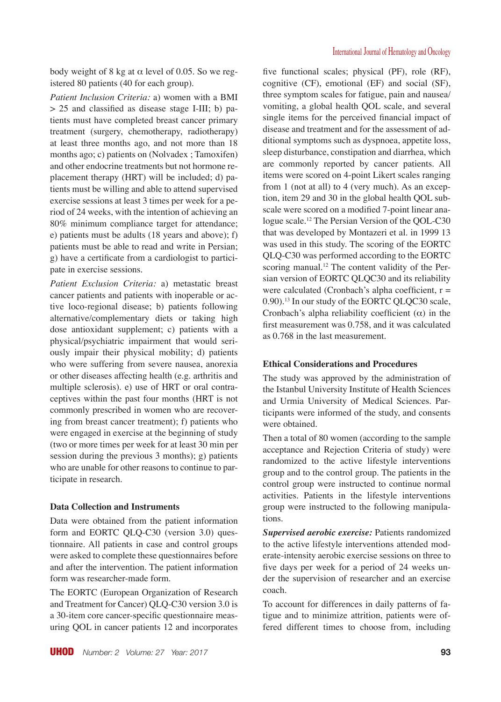body weight of 8 kg at  $\alpha$  level of 0.05. So we registered 80 patients (40 for each group).

*Patient Inclusion Criteria:* a) women with a BMI > 25 and classified as disease stage I-III; b) patients must have completed breast cancer primary treatment (surgery, chemotherapy, radiotherapy) at least three months ago, and not more than 18 months ago; c) patients on (Nolvadex ; Tamoxifen) and other endocrine treatments but not hormone replacement therapy (HRT) will be included; d) patients must be willing and able to attend supervised exercise sessions at least 3 times per week for a period of 24 weeks, with the intention of achieving an 80% minimum compliance target for attendance; e) patients must be adults (18 years and above); f) patients must be able to read and write in Persian; g) have a certificate from a cardiologist to participate in exercise sessions.

*Patient Exclusion Criteria:* a) metastatic breast cancer patients and patients with inoperable or active loco-regional disease; b) patients following alternative/complementary diets or taking high dose antioxidant supplement; c) patients with a physical/psychiatric impairment that would seriously impair their physical mobility; d) patients who were suffering from severe nausea, anorexia or other diseases affecting health (e.g. arthritis and multiple sclerosis). e) use of HRT or oral contraceptives within the past four months (HRT is not commonly prescribed in women who are recovering from breast cancer treatment); f) patients who were engaged in exercise at the beginning of study (two or more times per week for at least 30 min per session during the previous 3 months); g) patients who are unable for other reasons to continue to participate in research.

#### **Data Collection and Instruments**

Data were obtained from the patient information form and EORTC QLQ-C30 (version 3.0) questionnaire. All patients in case and control groups were asked to complete these questionnaires before and after the intervention. The patient information form was researcher-made form.

The EORTC (European Organization of Research and Treatment for Cancer) QLQ-C30 version 3.0 is a 30-item core cancer-specific questionnaire measuring QOL in cancer patients 12 and incorporates five functional scales; physical (PF), role (RF), cognitive (CF), emotional (EF) and social (SF), three symptom scales for fatigue, pain and nausea/ vomiting, a global health QOL scale, and several single items for the perceived financial impact of disease and treatment and for the assessment of additional symptoms such as dyspnoea, appetite loss, sleep disturbance, constipation and diarrhea, which are commonly reported by cancer patients. All items were scored on 4-point Likert scales ranging from 1 (not at all) to 4 (very much). As an exception, item 29 and 30 in the global health QOL subscale were scored on a modified 7-point linear analogue scale.12 The Persian Version of the QOL-C30 that was developed by Montazeri et al. in 1999 13 was used in this study. The scoring of the EORTC QLQ-C30 was performed according to the EORTC scoring manual.<sup>12</sup> The content validity of the Persian version of EORTC QLQC30 and its reliability were calculated (Cronbach's alpha coefficient,  $r =$ 0.90).13 In our study of the EORTC QLQC30 scale, Cronbach's alpha reliability coefficient  $(\alpha)$  in the first measurement was 0.758, and it was calculated as 0.768 in the last measurement.

### **Ethical Considerations and Procedures**

The study was approved by the administration of the Istanbul University Institute of Health Sciences and Urmia University of Medical Sciences. Participants were informed of the study, and consents were obtained.

Then a total of 80 women (according to the sample acceptance and Rejection Criteria of study) were randomized to the active lifestyle interventions group and to the control group. The patients in the control group were instructed to continue normal activities. Patients in the lifestyle interventions group were instructed to the following manipulations.

*Supervised aerobic exercise:* Patients randomized to the active lifestyle interventions attended moderate-intensity aerobic exercise sessions on three to five days per week for a period of 24 weeks under the supervision of researcher and an exercise coach.

To account for differences in daily patterns of fatigue and to minimize attrition, patients were offered different times to choose from, including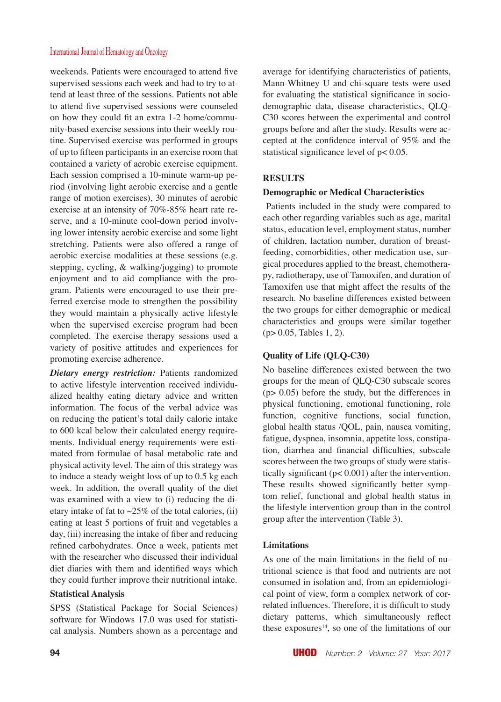weekends. Patients were encouraged to attend five supervised sessions each week and had to try to attend at least three of the sessions. Patients not able to attend five supervised sessions were counseled on how they could fit an extra 1-2 home/community-based exercise sessions into their weekly routine. Supervised exercise was performed in groups of up to fifteen participants in an exercise room that contained a variety of aerobic exercise equipment. Each session comprised a 10-minute warm-up period (involving light aerobic exercise and a gentle range of motion exercises), 30 minutes of aerobic exercise at an intensity of 70%-85% heart rate reserve, and a 10-minute cool-down period involving lower intensity aerobic exercise and some light stretching. Patients were also offered a range of aerobic exercise modalities at these sessions (e.g. stepping, cycling, & walking/jogging) to promote enjoyment and to aid compliance with the program. Patients were encouraged to use their preferred exercise mode to strengthen the possibility they would maintain a physically active lifestyle when the supervised exercise program had been completed. The exercise therapy sessions used a variety of positive attitudes and experiences for promoting exercise adherence.

*Dietary energy restriction:* Patients randomized to active lifestyle intervention received individualized healthy eating dietary advice and written information. The focus of the verbal advice was on reducing the patient's total daily calorie intake to 600 kcal below their calculated energy requirements. Individual energy requirements were estimated from formulae of basal metabolic rate and physical activity level. The aim of this strategy was to induce a steady weight loss of up to 0.5 kg each week. In addition, the overall quality of the diet was examined with a view to (i) reducing the dietary intake of fat to  $\sim$ 25% of the total calories, (ii) eating at least 5 portions of fruit and vegetables a day, (iii) increasing the intake of fiber and reducing refined carbohydrates. Once a week, patients met with the researcher who discussed their individual diet diaries with them and identified ways which they could further improve their nutritional intake.

# **Statistical Analysis**

SPSS (Statistical Package for Social Sciences) software for Windows 17.0 was used for statistical analysis. Numbers shown as a percentage and

average for identifying characteristics of patients, Mann-Whitney U and chi-square tests were used for evaluating the statistical significance in sociodemographic data, disease characteristics, QLQ-C30 scores between the experimental and control groups before and after the study. Results were accepted at the confidence interval of 95% and the statistical significance level of p< 0.05.

# **RESULTS**

## **Demographic or Medical Characteristics**

 Patients included in the study were compared to each other regarding variables such as age, marital status, education level, employment status, number of children, lactation number, duration of breastfeeding, comorbidities, other medication use, surgical procedures applied to the breast, chemotherapy, radiotherapy, use of Tamoxifen, and duration of Tamoxifen use that might affect the results of the research. No baseline differences existed between the two groups for either demographic or medical characteristics and groups were similar together (p> 0.05, Tables 1, 2).

# **Quality of Life (QLQ-C30)**

No baseline differences existed between the two groups for the mean of QLQ-C30 subscale scores (p> 0.05) before the study, but the differences in physical functioning, emotional functioning, role function, cognitive functions, social function, global health status /QOL, pain, nausea vomiting, fatigue, dyspnea, insomnia, appetite loss, constipation, diarrhea and financial difficulties, subscale scores between the two groups of study were statistically significant (p< 0.001) after the intervention. These results showed significantly better symptom relief, functional and global health status in the lifestyle intervention group than in the control group after the intervention (Table 3).

# **Limitations**

As one of the main limitations in the field of nutritional science is that food and nutrients are not consumed in isolation and, from an epidemiological point of view, form a complex network of correlated influences. Therefore, it is difficult to study dietary patterns, which simultaneously reflect these exposures<sup>14</sup>, so one of the limitations of our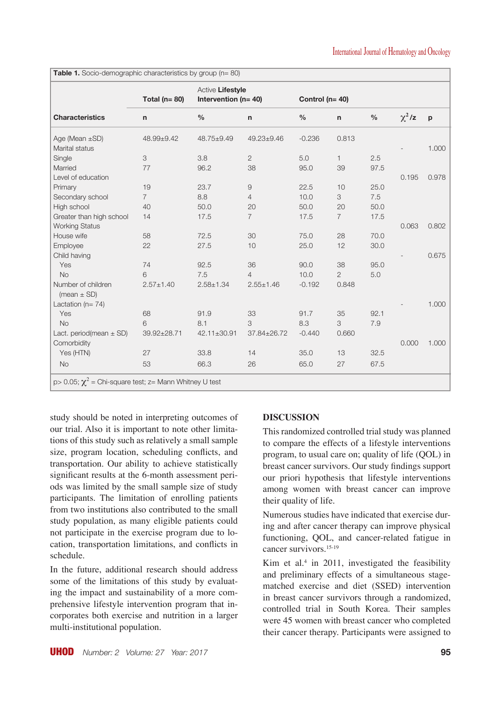| <b>Characteristics</b>                | Total ( $n = 80$ ) | Active Lifestyle<br>Intervention ( $n = 40$ ) | Control (n= 40)  |          |                |      |             |       |
|---------------------------------------|--------------------|-----------------------------------------------|------------------|----------|----------------|------|-------------|-------|
|                                       | n                  | $\%$                                          | $\mathsf{n}$     | $\%$     | $\mathsf{n}$   | $\%$ | $\chi^2$ /z | p     |
| Age (Mean $\pm$ SD)<br>Marital status | 48.99±9.42         | 48.75±9.49                                    | $49.23 \pm 9.46$ | $-0.236$ | 0.813          |      |             | 1.000 |
| Single                                | 3                  | 3.8                                           | $\overline{2}$   | 5.0      | $\mathbf{1}$   | 2.5  |             |       |
| Married                               | 77                 | 96.2                                          | 38               | 95.0     | 39             | 97.5 |             |       |
| Level of education                    |                    |                                               |                  |          |                |      | 0.195       | 0.978 |
| Primary                               | 19                 | 23.7                                          | $\hbox{9}$       | 22.5     | 10             | 25.0 |             |       |
| Secondary school                      | $\overline{7}$     | 8.8                                           | $\overline{4}$   | 10.0     | 3              | 7.5  |             |       |
| High school                           | 40                 | 50.0                                          | 20               | 50.0     | 20             | 50.0 |             |       |
| Greater than high school              | 14                 | 17.5                                          | $\overline{7}$   | 17.5     | $\overline{7}$ | 17.5 |             |       |
| <b>Working Status</b>                 |                    |                                               |                  |          |                |      | 0.063       | 0.802 |
| House wife                            | 58                 | 72.5                                          | 30               | 75.0     | 28             | 70.0 |             |       |
| Employee                              | 22                 | 27.5                                          | 10               | 25.0     | 12             | 30.0 |             |       |
| Child having                          |                    |                                               |                  |          |                |      |             | 0.675 |
| Yes                                   | 74                 | 92.5                                          | 36               | 90.0     | 38             | 95.0 |             |       |
| <b>No</b>                             | 6                  | 7.5                                           | $\overline{4}$   | 10.0     | $\mathbf{2}$   | 5.0  |             |       |
| Number of children<br>(mean $\pm$ SD) | $2.57 + 1.40$      | $2.58 + 1.34$                                 | $2.55 \pm 1.46$  | $-0.192$ | 0.848          |      |             |       |
| Lactation ( $n = 74$ )                |                    |                                               |                  |          |                |      |             | 1.000 |
| Yes                                   | 68                 | 91.9                                          | 33               | 91.7     | 35             | 92.1 |             |       |
| <b>No</b>                             | 6                  | 8.1                                           | 3                | 8.3      | 3              | 7.9  |             |       |
| Lact. period(mean $\pm$ SD)           | 39.92±28.71        | 42.11±30.91                                   | 37.84±26.72      | $-0.440$ | 0.660          |      |             |       |
| Comorbidity                           |                    |                                               |                  |          |                |      | 0.000       | 1.000 |
| Yes (HTN)                             | 27                 | 33.8                                          | 14               | 35.0     | 13             | 32.5 |             |       |
| <b>No</b>                             | 53                 | 66.3                                          | 26               | 65.0     | 27             | 67.5 |             |       |

**Table 1.** Socio-demographic characteristics by group (n= 80)

study should be noted in interpreting outcomes of our trial. Also it is important to note other limitations of this study such as relatively a small sample size, program location, scheduling conflicts, and transportation. Our ability to achieve statistically significant results at the 6-month assessment periods was limited by the small sample size of study participants. The limitation of enrolling patients from two institutions also contributed to the small study population, as many eligible patients could not participate in the exercise program due to location, transportation limitations, and conflicts in schedule.

In the future, additional research should address some of the limitations of this study by evaluating the impact and sustainability of a more comprehensive lifestyle intervention program that incorporates both exercise and nutrition in a larger multi-institutional population.

# **DISCUSSION**

This randomized controlled trial study was planned to compare the effects of a lifestyle interventions program, to usual care on; quality of life (QOL) in breast cancer survivors. Our study findings support our priori hypothesis that lifestyle interventions among women with breast cancer can improve their quality of life.

Numerous studies have indicated that exercise during and after cancer therapy can improve physical functioning, QOL, and cancer-related fatigue in cancer survivors.15-19

Kim et al.4 in 2011, investigated the feasibility and preliminary effects of a simultaneous stagematched exercise and diet (SSED) intervention in breast cancer survivors through a randomized, controlled trial in South Korea. Their samples were 45 women with breast cancer who completed their cancer therapy. Participants were assigned to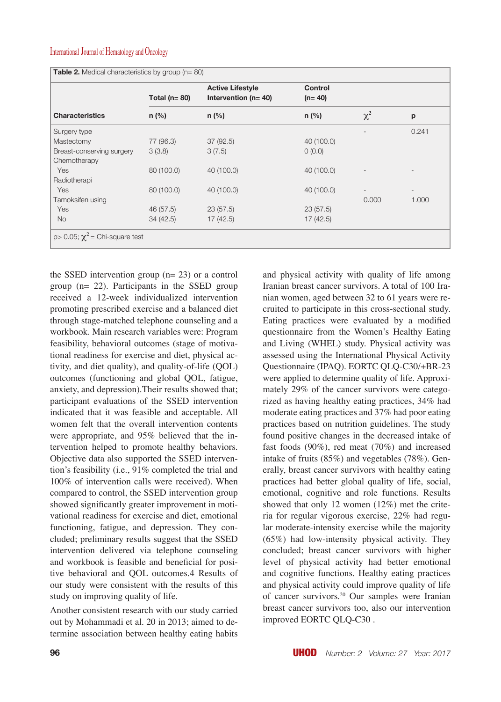|                           | Total ( $n = 80$ ) | <b>Active Lifestyle</b><br>Intervention ( $n = 40$ ) | <b>Control</b><br>$(n=40)$ |                          |                     |  |  |
|---------------------------|--------------------|------------------------------------------------------|----------------------------|--------------------------|---------------------|--|--|
| <b>Characteristics</b>    | $n$ (%)            | $n$ (%)                                              | $n$ (%)                    | $\chi^2$                 | p<br>0.241<br>1.000 |  |  |
| Surgery type              |                    |                                                      |                            |                          |                     |  |  |
| Mastectomy                | 77 (96.3)          | 37(92.5)                                             | 40 (100.0)                 |                          |                     |  |  |
| Breast-conserving surgery | 3(3.8)             | 3(7.5)                                               | 0(0.0)                     |                          |                     |  |  |
| Chemotherapy              |                    |                                                      |                            |                          |                     |  |  |
| Yes                       | 80 (100.0)         | 40 (100.0)                                           | 40 (100.0)                 |                          |                     |  |  |
| Radiotherapi              |                    |                                                      |                            |                          |                     |  |  |
| Yes                       | 80 (100.0)         | 40 (100.0)                                           | 40 (100.0)                 | $\overline{\phantom{a}}$ |                     |  |  |
| Tamoksifen using          |                    |                                                      |                            | 0.000                    |                     |  |  |
| Yes                       | 46 (57.5)          | 23(57.5)                                             | 23(57.5)                   |                          |                     |  |  |
| <b>No</b>                 | 34(42.5)           | 17(42.5)                                             | 17(42.5)                   |                          |                     |  |  |

the SSED intervention group (n= 23) or a control group (n= 22). Participants in the SSED group received a 12-week individualized intervention promoting prescribed exercise and a balanced diet through stage-matched telephone counseling and a workbook. Main research variables were: Program feasibility, behavioral outcomes (stage of motivational readiness for exercise and diet, physical activity, and diet quality), and quality-of-life (QOL) outcomes (functioning and global QOL, fatigue, anxiety, and depression).Their results showed that; participant evaluations of the SSED intervention indicated that it was feasible and acceptable. All women felt that the overall intervention contents were appropriate, and 95% believed that the intervention helped to promote healthy behaviors. Objective data also supported the SSED intervention's feasibility (i.e., 91% completed the trial and 100% of intervention calls were received). When compared to control, the SSED intervention group showed significantly greater improvement in motivational readiness for exercise and diet, emotional functioning, fatigue, and depression. They concluded; preliminary results suggest that the SSED intervention delivered via telephone counseling and workbook is feasible and beneficial for positive behavioral and QOL outcomes.4 Results of our study were consistent with the results of this study on improving quality of life.

Another consistent research with our study carried out by Mohammadi et al. 20 in 2013; aimed to determine association between healthy eating habits and physical activity with quality of life among Iranian breast cancer survivors. A total of 100 Iranian women, aged between 32 to 61 years were recruited to participate in this cross-sectional study. Eating practices were evaluated by a modified questionnaire from the Women's Healthy Eating and Living (WHEL) study. Physical activity was assessed using the International Physical Activity Questionnaire (IPAQ). EORTC QLQ-C30/+BR-23 were applied to determine quality of life. Approximately 29% of the cancer survivors were categorized as having healthy eating practices, 34% had moderate eating practices and 37% had poor eating practices based on nutrition guidelines. The study found positive changes in the decreased intake of fast foods (90%), red meat (70%) and increased intake of fruits (85%) and vegetables (78%). Generally, breast cancer survivors with healthy eating practices had better global quality of life, social, emotional, cognitive and role functions. Results showed that only 12 women (12%) met the criteria for regular vigorous exercise, 22% had regular moderate-intensity exercise while the majority (65%) had low-intensity physical activity. They concluded; breast cancer survivors with higher level of physical activity had better emotional and cognitive functions. Healthy eating practices and physical activity could improve quality of life of cancer survivors.20 Our samples were Iranian breast cancer survivors too, also our intervention improved EORTC QLQ-C30 .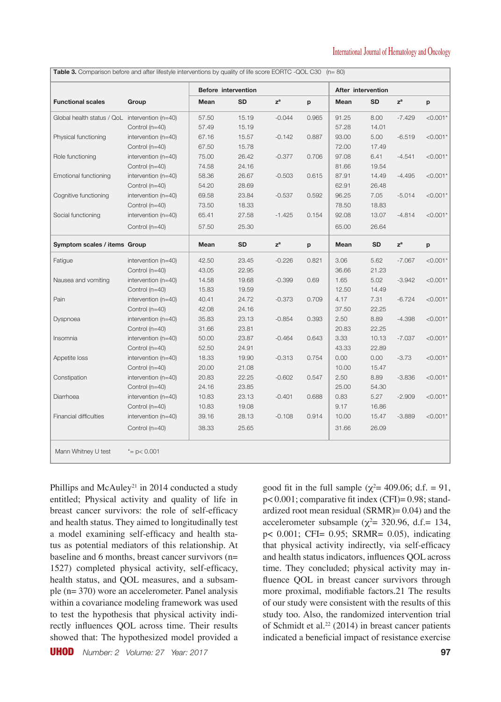| <b>Functional scales</b>                       | Group                 | <b>Before intervention</b> |           |                           |       | After intervention |           |                           |            |
|------------------------------------------------|-----------------------|----------------------------|-----------|---------------------------|-------|--------------------|-----------|---------------------------|------------|
|                                                |                       | Mean                       | <b>SD</b> | $\mathsf{z}^{\mathsf{a}}$ | p     | Mean               | <b>SD</b> | $\mathsf{z}^{\mathsf{a}}$ | p          |
| Global health status / QoL intervention (n=40) |                       | 57.50                      | 15.19     | $-0.044$                  | 0.965 | 91.25              | 8.00      | $-7.429$                  | $< 0.001*$ |
|                                                | Control (n=40)        | 57.49                      | 15.19     |                           |       | 57.28              | 14.01     |                           |            |
| Physical functioning                           | intervention (n=40)   | 67.16                      | 15.57     | $-0.142$                  | 0.887 | 93.00              | 5.00      | $-6.519$                  | $< 0.001*$ |
|                                                | Control $(n=40)$      | 67.50                      | 15.78     |                           |       | 72.00              | 17.49     |                           |            |
| Role functioning                               | intervention (n=40)   | 75.00                      | 26.42     | $-0.377$                  | 0.706 | 97.08              | 6.41      | $-4.541$                  | $< 0.001*$ |
|                                                | Control $(n=40)$      | 74.58                      | 24.16     |                           |       | 81.66              | 19.54     |                           |            |
| Emotional functioning                          | intervention (n=40)   | 58.36                      | 26.67     | $-0.503$                  | 0.615 | 87.91              | 14.49     | $-4.495$                  | $< 0.001*$ |
|                                                | Control (n=40)        | 54.20                      | 28.69     |                           |       | 62.91              | 26.48     |                           |            |
| Cognitive functioning                          | intervention $(n=40)$ | 69.58                      | 23.84     | $-0.537$                  | 0.592 | 96.25              | 7.05      | $-5.014$                  | $< 0.001*$ |
|                                                | Control (n=40)        | 73.50                      | 18.33     |                           |       | 78.50              | 18.83     |                           |            |
| Social functioning                             | intervention (n=40)   | 65.41                      | 27.58     | $-1.425$                  | 0.154 | 92.08              | 13.07     | $-4.814$                  | $< 0.001*$ |
|                                                | Control $(n=40)$      | 57.50                      | 25.30     |                           |       | 65.00              | 26.64     |                           |            |
| Symptom scales / items Group                   |                       | Mean                       | <b>SD</b> | $\mathbf{z}^{\mathrm{a}}$ | p     | Mean               | <b>SD</b> | $z^a$                     | p          |
| Fatigue                                        | intervention $(n=40)$ | 42.50                      | 23.45     | $-0.226$                  | 0.821 | 3.06               | 5.62      | $-7.067$                  | $< 0.001*$ |
|                                                | Control (n=40)        | 43.05                      | 22.95     |                           |       | 36.66              | 21.23     |                           |            |
| Nausea and vomiting                            | intervention $(n=40)$ | 14.58                      | 19.68     | $-0.399$                  | 0.69  | 1.65               | 5.02      | $-3.942$                  | $< 0.001*$ |
|                                                | Control (n=40)        | 15.83                      | 19.59     |                           |       | 12.50              | 14.49     |                           |            |
| Pain                                           | intervention $(n=40)$ | 40.41                      | 24.72     | $-0.373$                  | 0.709 | 4.17               | 7.31      | $-6.724$                  | $< 0.001*$ |
|                                                | Control (n=40)        | 42.08                      | 24.16     |                           |       | 37.50              | 22.25     |                           |            |
| Dyspnoea                                       | intervention (n=40)   | 35.83                      | 23.13     | $-0.854$                  | 0.393 | 2.50               | 8.89      | $-4.398$                  | $< 0.001*$ |
|                                                | Control $(n=40)$      | 31.66                      | 23.81     |                           |       | 20.83              | 22.25     |                           |            |
| Insomnia                                       | intervention (n=40)   | 50.00                      | 23.87     | $-0.464$                  | 0.643 | 3.33               | 10.13     | $-7.037$                  | $< 0.001*$ |
|                                                | Control (n=40)        | 52.50                      | 24.91     |                           |       | 43.33              | 22.89     |                           |            |
| Appetite loss                                  | intervention $(n=40)$ | 18.33                      | 19.90     | $-0.313$                  | 0.754 | 0.00               | 0.00      | $-3.73$                   | $< 0.001*$ |
|                                                | Control (n=40)        | 20.00                      | 21.08     |                           |       | 10.00              | 15.47     |                           |            |
| Constipation                                   | intervention (n=40)   | 20.83                      | 22.25     | $-0.602$                  | 0.547 | 2.50               | 8.89      | $-3.836$                  | $< 0.001*$ |
|                                                | Control (n=40)        | 24.16                      | 23.85     |                           |       | 25.00              | 54.30     |                           |            |
| Diarrhoea                                      | intervention (n=40)   | 10.83                      | 23.13     | $-0.401$                  | 0.688 | 0.83               | 5.27      | $-2.909$                  | $< 0.001*$ |
|                                                | Control (n=40)        | 10.83                      | 19.08     |                           |       | 9.17               | 16.86     |                           |            |
| <b>Financial difficulties</b>                  | intervention (n=40)   | 39.16                      | 28.13     | $-0.108$                  | 0.914 | 10.00              | 15.47     | $-3.889$                  | $< 0.001*$ |
|                                                | Control (n=40)        | 38.33                      | 25.65     |                           |       | 31.66              | 26.09     |                           |            |

Phillips and McAuley<sup>21</sup> in 2014 conducted a study entitled; Physical activity and quality of life in breast cancer survivors: the role of self-efficacy and health status. They aimed to longitudinally test a model examining self-efficacy and health status as potential mediators of this relationship. At baseline and 6 months, breast cancer survivors (n= 1527) completed physical activity, self-efficacy, health status, and QOL measures, and a subsample (n= 370) wore an accelerometer. Panel analysis within a covariance modeling framework was used to test the hypothesis that physical activity indirectly influences QOL across time. Their results showed that: The hypothesized model provided a

UHOD *Number: 2 Volume: 27 Year: 2017* **97**

good fit in the full sample ( $\chi^2$  = 409.06; d.f. = 91, p< 0.001; comparative fit index (CFI)= 0.98; standardized root mean residual (SRMR)= 0.04) and the accelerometer subsample ( $\chi^2$  = 320.96, d.f. = 134, p< 0.001; CFI= 0.95; SRMR= 0.05), indicating that physical activity indirectly, via self-efficacy and health status indicators, influences QOL across time. They concluded; physical activity may influence QOL in breast cancer survivors through more proximal, modifiable factors.21 The results of our study were consistent with the results of this study too. Also, the randomized intervention trial of Schmidt et al.<sup>22</sup> (2014) in breast cancer patients indicated a beneficial impact of resistance exercise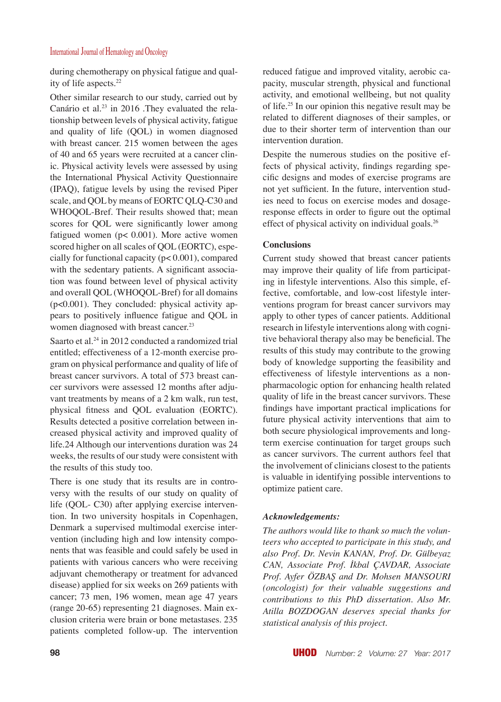during chemotherapy on physical fatigue and quality of life aspects.<sup>22</sup>

Other similar research to our study, carried out by Canário et al.<sup>23</sup> in 2016 .They evaluated the relationship between levels of physical activity, fatigue and quality of life (QOL) in women diagnosed with breast cancer. 215 women between the ages of 40 and 65 years were recruited at a cancer clinic. Physical activity levels were assessed by using the International Physical Activity Questionnaire (IPAQ), fatigue levels by using the revised Piper scale, and QOL by means of EORTC QLQ-C30 and WHOQOL-Bref. Their results showed that; mean scores for QOL were significantly lower among fatigued women (p< 0.001). More active women scored higher on all scales of QOL (EORTC), especially for functional capacity (p< 0.001), compared with the sedentary patients. A significant association was found between level of physical activity and overall QOL (WHOQOL-Bref) for all domains (p<0.001). They concluded: physical activity appears to positively influence fatigue and QOL in women diagnosed with breast cancer.<sup>23</sup>

Saarto et al.<sup>24</sup> in 2012 conducted a randomized trial entitled; effectiveness of a 12-month exercise program on physical performance and quality of life of breast cancer survivors. A total of 573 breast cancer survivors were assessed 12 months after adjuvant treatments by means of a 2 km walk, run test, physical fitness and QOL evaluation (EORTC). Results detected a positive correlation between increased physical activity and improved quality of life.24 Although our interventions duration was 24 weeks, the results of our study were consistent with the results of this study too.

There is one study that its results are in controversy with the results of our study on quality of life (QOL- C30) after applying exercise intervention. In two university hospitals in Copenhagen, Denmark a supervised multimodal exercise intervention (including high and low intensity components that was feasible and could safely be used in patients with various cancers who were receiving adjuvant chemotherapy or treatment for advanced disease) applied for six weeks on 269 patients with cancer; 73 men, 196 women, mean age 47 years (range 20-65) representing 21 diagnoses. Main exclusion criteria were brain or bone metastases. 235 patients completed follow-up. The intervention reduced fatigue and improved vitality, aerobic capacity, muscular strength, physical and functional activity, and emotional wellbeing, but not quality of life.25 In our opinion this negative result may be related to different diagnoses of their samples, or due to their shorter term of intervention than our intervention duration.

Despite the numerous studies on the positive effects of physical activity, findings regarding specific designs and modes of exercise programs are not yet sufficient. In the future, intervention studies need to focus on exercise modes and dosageresponse effects in order to figure out the optimal effect of physical activity on individual goals.<sup>26</sup>

## **Conclusions**

Current study showed that breast cancer patients may improve their quality of life from participating in lifestyle interventions. Also this simple, effective, comfortable, and low-cost lifestyle interventions program for breast cancer survivors may apply to other types of cancer patients. Additional research in lifestyle interventions along with cognitive behavioral therapy also may be beneficial. The results of this study may contribute to the growing body of knowledge supporting the feasibility and effectiveness of lifestyle interventions as a nonpharmacologic option for enhancing health related quality of life in the breast cancer survivors. These findings have important practical implications for future physical activity interventions that aim to both secure physiological improvements and longterm exercise continuation for target groups such as cancer survivors. The current authors feel that the involvement of clinicians closest to the patients is valuable in identifying possible interventions to optimize patient care.

# *Acknowledgements:*

*The authors would like to thank so much the volunteers who accepted to participate in this study, and also Prof. Dr. Nevin KANAN, Prof. Dr. Gülbeyaz CAN, Associate Prof. İkbal ÇAVDAR, Associate Prof. Ayfer ÖZBAŞ and Dr. Mohsen MANSOURI (oncologist) for their valuable suggestions and contributions to this PhD dissertation. Also Mr. Atilla BOZDOGAN deserves special thanks for statistical analysis of this project.*